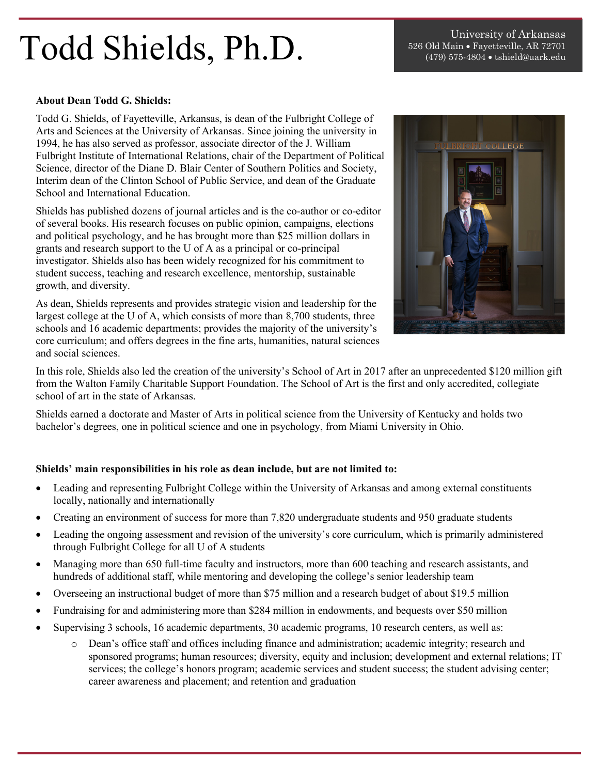## $\textbf{Todd}$  Shields, Ph.D.  $\textbf{S}^{\text{obs}}$  old Main • Fayetteville, AR 72701 (479) 575-4804 • tshield@uark.edu

## **About Dean Todd G. Shields:**

Todd G. Shields, of Fayetteville, Arkansas, is dean of the Fulbright College of Arts and Sciences at the University of Arkansas. Since joining the university in 1994, he has also served as professor, associate director of the J. William Fulbright Institute of International Relations, chair of the Department of Political Science, director of the Diane D. Blair Center of Southern Politics and Society, Interim dean of the Clinton School of Public Service, and dean of the Graduate School and International Education.

Shields has published dozens of journal articles and is the co-author or co-editor of several books. His research focuses on public opinion, campaigns, elections and political psychology, and he has brought more than \$25 million dollars in grants and research support to the U of A as a principal or co-principal investigator. Shields also has been widely recognized for his commitment to student success, teaching and research excellence, mentorship, sustainable growth, and diversity.

As dean, Shields represents and provides strategic vision and leadership for the largest college at the U of A, which consists of more than 8,700 students, three schools and 16 academic departments; provides the majority of the university's core curriculum; and offers degrees in the fine arts, humanities, natural sciences and social sciences.



In this role, Shields also led the creation of the university's School of Art in 2017 after an unprecedented \$120 million gift from the Walton Family Charitable Support Foundation. The School of Art is the first and only accredited, collegiate school of art in the state of Arkansas.

Shields earned a doctorate and Master of Arts in political science from the University of Kentucky and holds two bachelor's degrees, one in political science and one in psychology, from Miami University in Ohio.

## **Shields' main responsibilities in his role as dean include, but are not limited to:**

- Leading and representing Fulbright College within the University of Arkansas and among external constituents locally, nationally and internationally
- Creating an environment of success for more than 7,820 undergraduate students and 950 graduate students
- Leading the ongoing assessment and revision of the university's core curriculum, which is primarily administered through Fulbright College for all U of A students
- Managing more than 650 full-time faculty and instructors, more than 600 teaching and research assistants, and hundreds of additional staff, while mentoring and developing the college's senior leadership team
- Overseeing an instructional budget of more than \$75 million and a research budget of about \$19.5 million
- Fundraising for and administering more than \$284 million in endowments, and bequests over \$50 million
- Supervising 3 schools, 16 academic departments, 30 academic programs, 10 research centers, as well as:
	- o Dean's office staff and offices including finance and administration; academic integrity; research and sponsored programs; human resources; diversity, equity and inclusion; development and external relations; IT services; the college's honors program; academic services and student success; the student advising center; career awareness and placement; and retention and graduation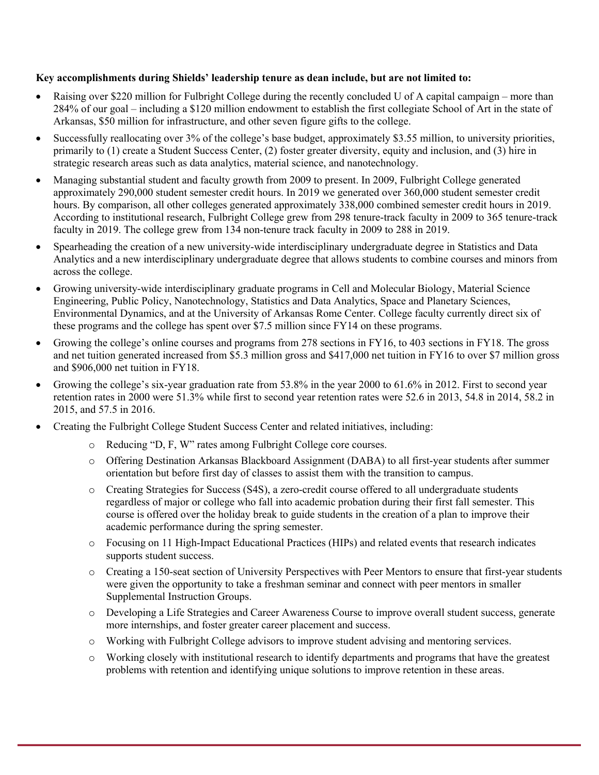## **Key accomplishments during Shields' leadership tenure as dean include, but are not limited to:**

- Raising over \$220 million for Fulbright College during the recently concluded U of A capital campaign more than 284% of our goal – including a \$120 million endowment to establish the first collegiate School of Art in the state of Arkansas, \$50 million for infrastructure, and other seven figure gifts to the college.
- Successfully reallocating over 3% of the college's base budget, approximately \$3.55 million, to university priorities, primarily to (1) create a Student Success Center, (2) foster greater diversity, equity and inclusion, and (3) hire in strategic research areas such as data analytics, material science, and nanotechnology.
- Managing substantial student and faculty growth from 2009 to present. In 2009, Fulbright College generated approximately 290,000 student semester credit hours. In 2019 we generated over 360,000 student semester credit hours. By comparison, all other colleges generated approximately 338,000 combined semester credit hours in 2019. According to institutional research, Fulbright College grew from 298 tenure-track faculty in 2009 to 365 tenure-track faculty in 2019. The college grew from 134 non-tenure track faculty in 2009 to 288 in 2019.
- Spearheading the creation of a new university-wide interdisciplinary undergraduate degree in Statistics and Data Analytics and a new interdisciplinary undergraduate degree that allows students to combine courses and minors from across the college.
- Growing university-wide interdisciplinary graduate programs in Cell and Molecular Biology, Material Science Engineering, Public Policy, Nanotechnology, Statistics and Data Analytics, Space and Planetary Sciences, Environmental Dynamics, and at the University of Arkansas Rome Center. College faculty currently direct six of these programs and the college has spent over \$7.5 million since FY14 on these programs.
- Growing the college's online courses and programs from 278 sections in FY16, to 403 sections in FY18. The gross and net tuition generated increased from \$5.3 million gross and \$417,000 net tuition in FY16 to over \$7 million gross and \$906,000 net tuition in FY18.
- Growing the college's six-year graduation rate from 53.8% in the year 2000 to 61.6% in 2012. First to second year retention rates in 2000 were 51.3% while first to second year retention rates were 52.6 in 2013, 54.8 in 2014, 58.2 in 2015, and 57.5 in 2016.
- Creating the Fulbright College Student Success Center and related initiatives, including:
	- o Reducing "D, F, W" rates among Fulbright College core courses.
	- o Offering Destination Arkansas Blackboard Assignment (DABA) to all first-year students after summer orientation but before first day of classes to assist them with the transition to campus.
	- o Creating Strategies for Success (S4S), a zero-credit course offered to all undergraduate students regardless of major or college who fall into academic probation during their first fall semester. This course is offered over the holiday break to guide students in the creation of a plan to improve their academic performance during the spring semester.
	- o Focusing on 11 High-Impact Educational Practices (HIPs) and related events that research indicates supports student success.
	- o Creating a 150-seat section of University Perspectives with Peer Mentors to ensure that first-year students were given the opportunity to take a freshman seminar and connect with peer mentors in smaller Supplemental Instruction Groups.
	- o Developing a Life Strategies and Career Awareness Course to improve overall student success, generate more internships, and foster greater career placement and success.
	- o Working with Fulbright College advisors to improve student advising and mentoring services.
	- o Working closely with institutional research to identify departments and programs that have the greatest problems with retention and identifying unique solutions to improve retention in these areas.